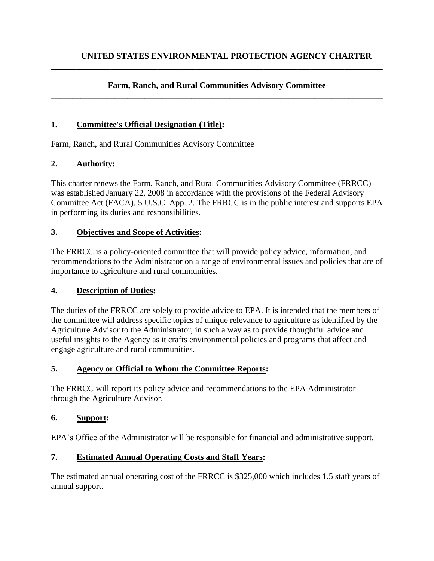#### **Farm, Ranch, and Rural Communities Advisory Committee \_\_\_\_\_\_\_\_\_\_\_\_\_\_\_\_\_\_\_\_\_\_\_\_\_\_\_\_\_\_\_\_\_\_\_\_\_\_\_\_\_\_\_\_\_\_\_\_\_\_\_\_\_\_\_\_\_\_\_\_\_\_\_\_\_\_\_\_\_\_\_\_\_\_\_\_\_\_**

**\_\_\_\_\_\_\_\_\_\_\_\_\_\_\_\_\_\_\_\_\_\_\_\_\_\_\_\_\_\_\_\_\_\_\_\_\_\_\_\_\_\_\_\_\_\_\_\_\_\_\_\_\_\_\_\_\_\_\_\_\_\_\_\_\_\_\_\_\_\_\_\_\_\_\_\_\_\_**

### **1. Committee's Official Designation (Title):**

Farm, Ranch, and Rural Communities Advisory Committee

### **2. Authority:**

This charter renews the Farm, Ranch, and Rural Communities Advisory Committee (FRRCC) was established January 22, 2008 in accordance with the provisions of the Federal Advisory Committee Act (FACA), 5 U.S.C. App. 2. The FRRCC is in the public interest and supports EPA in performing its duties and responsibilities.

### **3. Objectives and Scope of Activities:**

The FRRCC is a policy-oriented committee that will provide policy advice, information, and recommendations to the Administrator on a range of environmental issues and policies that are of importance to agriculture and rural communities.

#### **4. Description of Duties:**

The duties of the FRRCC are solely to provide advice to EPA. It is intended that the members of the committee will address specific topics of unique relevance to agriculture as identified by the Agriculture Advisor to the Administrator, in such a way as to provide thoughtful advice and useful insights to the Agency as it crafts environmental policies and programs that affect and engage agriculture and rural communities.

#### **5. Agency or Official to Whom the Committee Reports:**

The FRRCC will report its policy advice and recommendations to the EPA Administrator through the Agriculture Advisor.

#### **6. Support:**

EPA's Office of the Administrator will be responsible for financial and administrative support.

## **7. Estimated Annual Operating Costs and Staff Years:**

The estimated annual operating cost of the FRRCC is \$325,000 which includes 1.5 staff years of annual support.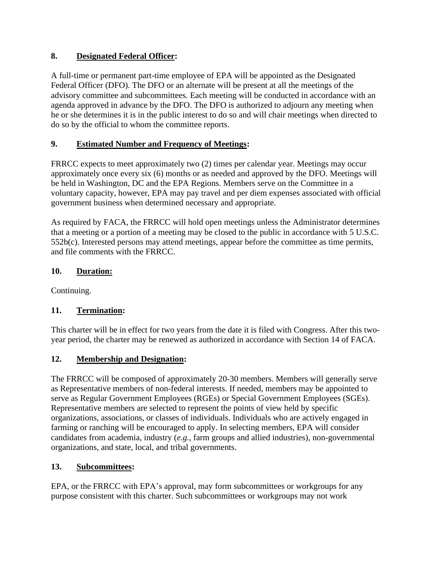## **8. Designated Federal Officer:**

A full-time or permanent part-time employee of EPA will be appointed as the Designated Federal Officer (DFO). The DFO or an alternate will be present at all the meetings of the advisory committee and subcommittees. Each meeting will be conducted in accordance with an agenda approved in advance by the DFO. The DFO is authorized to adjourn any meeting when he or she determines it is in the public interest to do so and will chair meetings when directed to do so by the official to whom the committee reports.

## **9. Estimated Number and Frequency of Meetings:**

FRRCC expects to meet approximately two (2) times per calendar year. Meetings may occur approximately once every six (6) months or as needed and approved by the DFO. Meetings will be held in Washington, DC and the EPA Regions. Members serve on the Committee in a voluntary capacity, however, EPA may pay travel and per diem expenses associated with official government business when determined necessary and appropriate.

As required by FACA, the FRRCC will hold open meetings unless the Administrator determines that a meeting or a portion of a meeting may be closed to the public in accordance with 5 U.S.C. 552b(c). Interested persons may attend meetings, appear before the committee as time permits, and file comments with the FRRCC.

## **10. Duration:**

Continuing.

# **11. Termination:**

This charter will be in effect for two years from the date it is filed with Congress. After this twoyear period, the charter may be renewed as authorized in accordance with Section 14 of FACA.

# **12. Membership and Designation:**

The FRRCC will be composed of approximately 20-30 members. Members will generally serve as Representative members of non-federal interests. If needed, members may be appointed to serve as Regular Government Employees (RGEs) or Special Government Employees (SGEs). Representative members are selected to represent the points of view held by specific organizations, associations, or classes of individuals. Individuals who are actively engaged in farming or ranching will be encouraged to apply. In selecting members, EPA will consider candidates from academia, industry (*e.g.*, farm groups and allied industries), non-governmental organizations, and state, local, and tribal governments.

# **13. Subcommittees:**

EPA, or the FRRCC with EPA's approval, may form subcommittees or workgroups for any purpose consistent with this charter. Such subcommittees or workgroups may not work